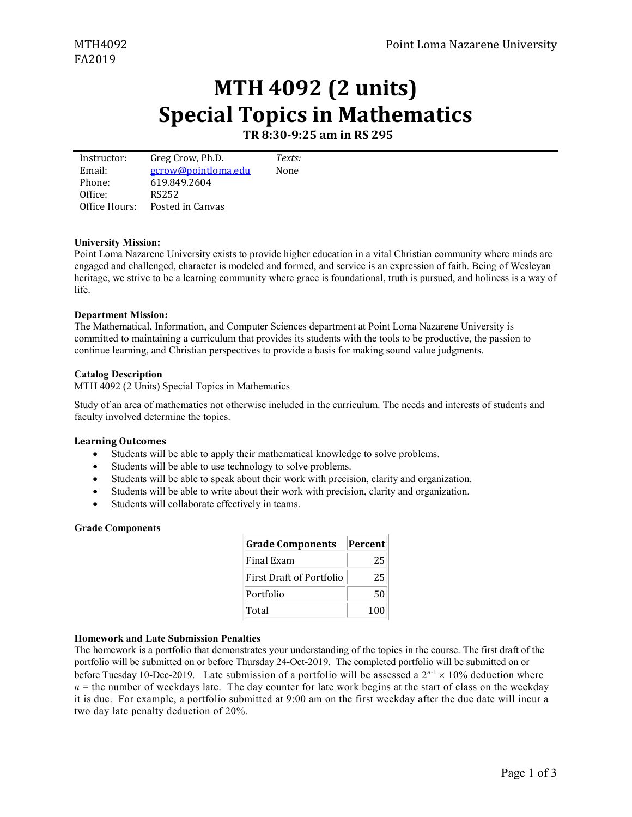# **MTH 4092 (2 units) Special Topics in Mathematics**

**TR 8:30-9:25 am in RS 295**

Instructor: Email: Phone: Office: Office Hours: Greg Crow, Ph.D. [gcrow@pointloma.edu](mailto:gcrow@pointloma.edu) 619.849.2604 RS252 Posted in Canvas *Texts:* None

#### **University Mission:**

Point Loma Nazarene University exists to provide higher education in a vital Christian community where minds are engaged and challenged, character is modeled and formed, and service is an expression of faith. Being of Wesleyan heritage, we strive to be a learning community where grace is foundational, truth is pursued, and holiness is a way of life.

# **Department Mission:**

The Mathematical, Information, and Computer Sciences department at Point Loma Nazarene University is committed to maintaining a curriculum that provides its students with the tools to be productive, the passion to continue learning, and Christian perspectives to provide a basis for making sound value judgments.

# **Catalog Description**

MTH 4092 (2 Units) Special Topics in Mathematics

Study of an area of mathematics not otherwise included in the curriculum. The needs and interests of students and faculty involved determine the topics.

#### **Learning Outcomes**

- Students will be able to apply their mathematical knowledge to solve problems.
- Students will be able to use technology to solve problems.
- Students will be able to speak about their work with precision, clarity and organization.
- Students will be able to write about their work with precision, clarity and organization.
- Students will collaborate effectively in teams.

#### **Grade Components**

| <b>Grade Components</b>  | Percent |  |  |
|--------------------------|---------|--|--|
| Final Exam               | 25      |  |  |
| First Draft of Portfolio | 25      |  |  |
| Portfolio                | 50      |  |  |
| Total                    | 100     |  |  |

#### **Homework and Late Submission Penalties**

The homework is a portfolio that demonstrates your understanding of the topics in the course. The first draft of the portfolio will be submitted on or before Thursday 24-Oct-2019. The completed portfolio will be submitted on or before Tuesday 10-Dec-2019. Late submission of a portfolio will be assessed a  $2^{n-1} \times 10^{n}$  deduction where  $n =$  the number of weekdays late. The day counter for late work begins at the start of class on the weekday it is due. For example, a portfolio submitted at 9:00 am on the first weekday after the due date will incur a two day late penalty deduction of 20%.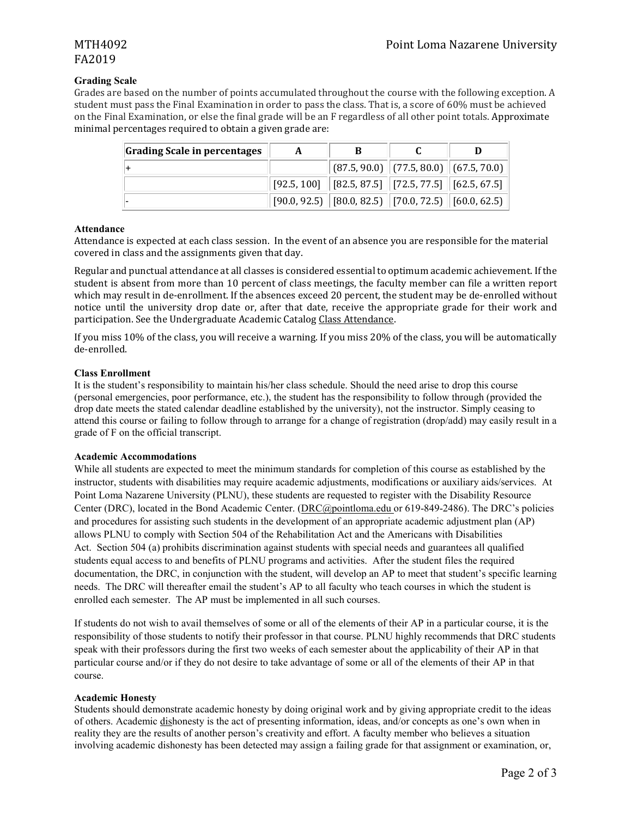# **Grading Scale**

Grades are based on the number of points accumulated throughout the course with the following exception. A student must pass the Final Examination in order to pass the class. That is, a score of 60% must be achieved on the Final Examination, or else the final grade will be an F regardless of all other point totals. Approximate minimal percentages required to obtain a given grade are:

| Grading Scale in percentages | A | B                                                                               |  |
|------------------------------|---|---------------------------------------------------------------------------------|--|
|                              |   | $\vert$ (87.5, 90.0) $\vert$ (77.5, 80.0) $\vert$ (67.5, 70.0)                  |  |
|                              |   | $\mid$ [92.5, 100] $\mid$ [82.5, 87.5] $\mid$ [72.5, 77.5] $\mid$ [62.5, 67.5]  |  |
|                              |   | $\mid$ [90.0, 92.5) $\mid$ [80.0, 82.5) $\mid$ [70.0, 72.5) $\mid$ [60.0, 62.5) |  |

#### **Attendance**

Attendance is expected at each class session. In the event of an absence you are responsible for the material covered in class and the assignments given that day.

Regular and punctual attendance at all classes is considered essential to optimum academic achievement. If the student is absent from more than 10 percent of class meetings, the faculty member can file a written report which may result in de-enrollment. If the absences exceed 20 percent, the student may be de-enrolled without notice until the university drop date or, after that date, receive the appropriate grade for their work and participation. See the Undergraduate Academic Catalog [Class Attendance.](https://catalog.pointloma.edu/content.php?catoid=35&navoid=2136#Class_Attendance)

If you miss 10% of the class, you will receive a warning. If you miss 20% of the class, you will be automatically de-enrolled.

#### **Class Enrollment**

It is the student's responsibility to maintain his/her class schedule. Should the need arise to drop this course (personal emergencies, poor performance, etc.), the student has the responsibility to follow through (provided the drop date meets the stated calendar deadline established by the university), not the instructor. Simply ceasing to attend this course or failing to follow through to arrange for a change of registration (drop/add) may easily result in a grade of F on the official transcript.

#### **Academic Accommodations**

While all students are expected to meet the minimum standards for completion of this course as established by the instructor, students with disabilities may require academic adjustments, modifications or auxiliary aids/services. At Point Loma Nazarene University (PLNU), these students are requested to register with the Disability Resource Center (DRC), located in the Bond Academic Center. [\(DRC@pointloma.edu](mailto:DRC@pointloma.edu) or 619-849-2486). The DRC's policies and procedures for assisting such students in the development of an appropriate academic adjustment plan (AP) allows PLNU to comply with Section 504 of the Rehabilitation Act and the Americans with Disabilities Act. Section 504 (a) prohibits discrimination against students with special needs and guarantees all qualified students equal access to and benefits of PLNU programs and activities. After the student files the required documentation, the DRC, in conjunction with the student, will develop an AP to meet that student's specific learning needs. The DRC will thereafter email the student's AP to all faculty who teach courses in which the student is enrolled each semester. The AP must be implemented in all such courses.

If students do not wish to avail themselves of some or all of the elements of their AP in a particular course, it is the responsibility of those students to notify their professor in that course. PLNU highly recommends that DRC students speak with their professors during the first two weeks of each semester about the applicability of their AP in that particular course and/or if they do not desire to take advantage of some or all of the elements of their AP in that course.

#### **Academic Honesty**

Students should demonstrate academic honesty by doing original work and by giving appropriate credit to the ideas of others. Academic dishonesty is the act of presenting information, ideas, and/or concepts as one's own when in reality they are the results of another person's creativity and effort. A faculty member who believes a situation involving academic dishonesty has been detected may assign a failing grade for that assignment or examination, or,